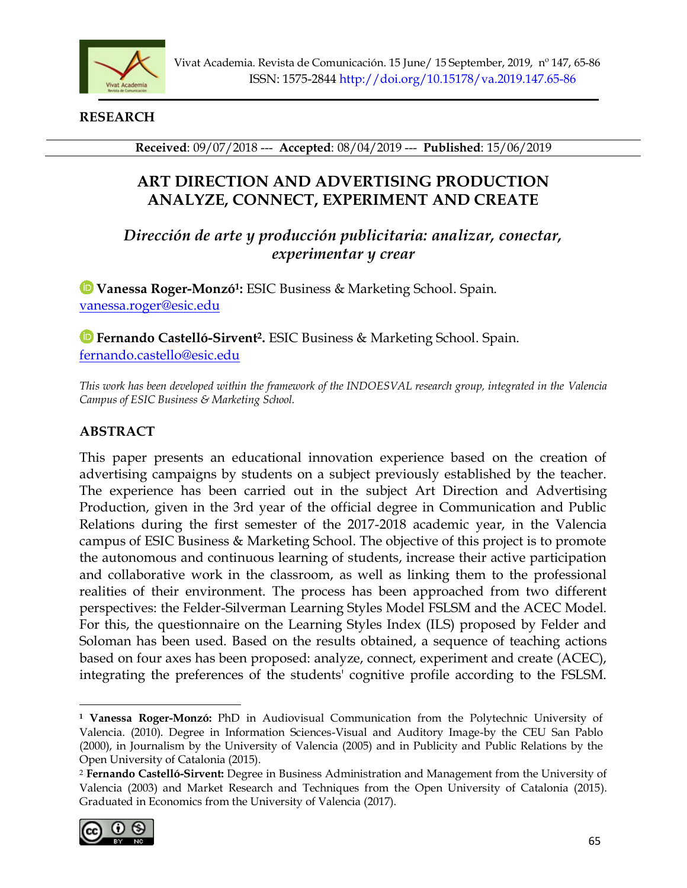

**RESEARCH**

**Received**: 09/07/2018 --- **Accepted**: 08/04/2019 --- **Published**: 15/06/2019

# **ART DIRECTION AND ADVERTISING PRODUCTION ANALYZE, CONNECT, EXPERIMENT AND CREATE**

*Dirección de arte y producción publicitaria: analizar, conectar, experimentar y crear*

**Vanessa Roger-Monzó<sup>1</sup> :** ESIC Business & Marketing School. Spain. [vanessa.roger@esic.edu](mailto:vanessa.roger@esic.edu)

**Fernando Castelló-Sirvent<sup>2</sup> .** ESIC Business & Marketing School. Spain. [fernando.castello@esic.edu](mailto:fernando.castello@esic.edu)

*This work has been developed within the framework of the INDOESVAL research group, integrated in the Valencia Campus of ESIC Business & Marketing School.* 

# **ABSTRACT**

This paper presents an educational innovation experience based on the creation of advertising campaigns by students on a subject previously established by the teacher. The experience has been carried out in the subject Art Direction and Advertising Production, given in the 3rd year of the official degree in Communication and Public Relations during the first semester of the 2017-2018 academic year, in the Valencia campus of ESIC Business & Marketing School. The objective of this project is to promote the autonomous and continuous learning of students, increase their active participation and collaborative work in the classroom, as well as linking them to the professional realities of their environment. The process has been approached from two different perspectives: the Felder-Silverman Learning Styles Model FSLSM and the ACEC Model. For this, the questionnaire on the Learning Styles Index (ILS) proposed by Felder and Soloman has been used. Based on the results obtained, a sequence of teaching actions based on four axes has been proposed: analyze, connect, experiment and create (ACEC), integrating the preferences of the students' cognitive profile according to the FSLSM.

<sup>2</sup> **Fernando Castelló-Sirvent:** Degree in Business Administration and Management from the University of Valencia (2003) and Market Research and Techniques from the Open University of Catalonia (2015). Graduated in Economics from the University of Valencia (2017).



**<sup>1</sup> Vanessa Roger-Monzó:** PhD in Audiovisual Communication from the Polytechnic University of Valencia. (2010). Degree in Information Sciences-Visual and Auditory Image-by the CEU San Pablo (2000), in Journalism by the University of Valencia (2005) and in Publicity and Public Relations by the Open University of Catalonia (2015).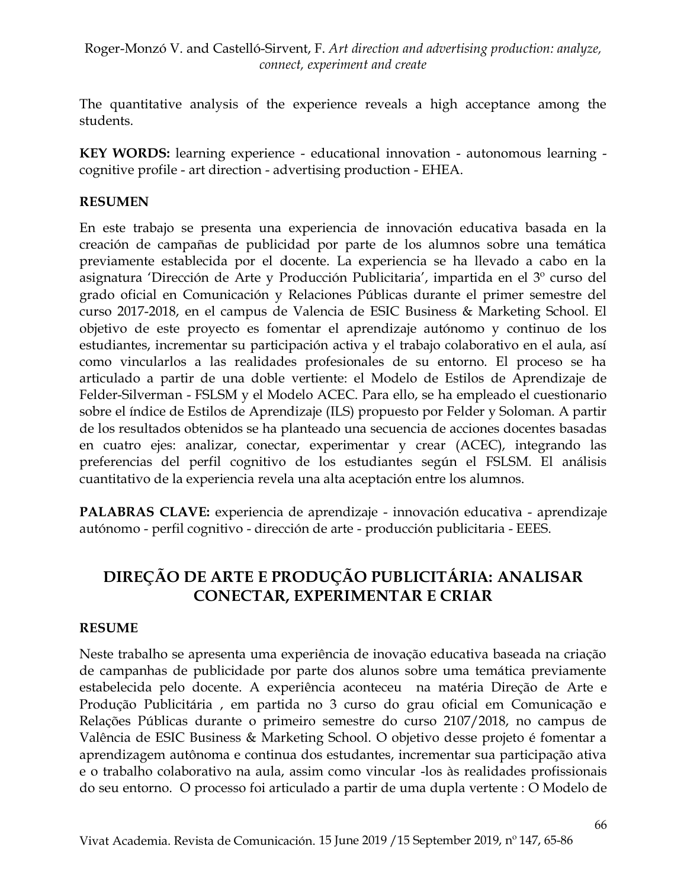The quantitative analysis of the experience reveals a high acceptance among the students.

**KEY WORDS:** learning experience - educational innovation - autonomous learning cognitive profile - art direction - advertising production - EHEA.

## **RESUMEN**

En este trabajo se presenta una experiencia de innovación educativa basada en la creación de campañas de publicidad por parte de los alumnos sobre una temática previamente establecida por el docente. La experiencia se ha llevado a cabo en la asignatura 'Dirección de Arte y Producción Publicitaria', impartida en el 3º curso del grado oficial en Comunicación y Relaciones Públicas durante el primer semestre del curso 2017-2018, en el campus de Valencia de ESIC Business & Marketing School. El objetivo de este proyecto es fomentar el aprendizaje autónomo y continuo de los estudiantes, incrementar su participación activa y el trabajo colaborativo en el aula, así como vincularlos a las realidades profesionales de su entorno. El proceso se ha articulado a partir de una doble vertiente: el Modelo de Estilos de Aprendizaje de Felder-Silverman - FSLSM y el Modelo ACEC. Para ello, se ha empleado el cuestionario sobre el índice de Estilos de Aprendizaje (ILS) propuesto por Felder y Soloman. A partir de los resultados obtenidos se ha planteado una secuencia de acciones docentes basadas en cuatro ejes: analizar, conectar, experimentar y crear (ACEC), integrando las preferencias del perfil cognitivo de los estudiantes según el FSLSM. El análisis cuantitativo de la experiencia revela una alta aceptación entre los alumnos.

**PALABRAS CLAVE:** experiencia de aprendizaje - innovación educativa - aprendizaje autónomo - perfil cognitivo - dirección de arte - producción publicitaria - EEES.

# **DIREÇÃO DE ARTE E PRODUÇÃO PUBLICITÁRIA: ANALISAR CONECTAR, EXPERIMENTAR E CRIAR**

#### **RESUME**

Neste trabalho se apresenta uma experiência de inovação educativa baseada na criação de campanhas de publicidade por parte dos alunos sobre uma temática previamente estabelecida pelo docente. A experiência aconteceu na matéria Direção de Arte e Produção Publicitária , em partida no 3 curso do grau oficial em Comunicação e Relações Públicas durante o primeiro semestre do curso 2107/2018, no campus de Valência de ESIC Business & Marketing School. O objetivo desse projeto é fomentar a aprendizagem autônoma e continua dos estudantes, incrementar sua participação ativa e o trabalho colaborativo na aula, assim como vincular -los às realidades profissionais do seu entorno. O processo foi articulado a partir de uma dupla vertente : O Modelo de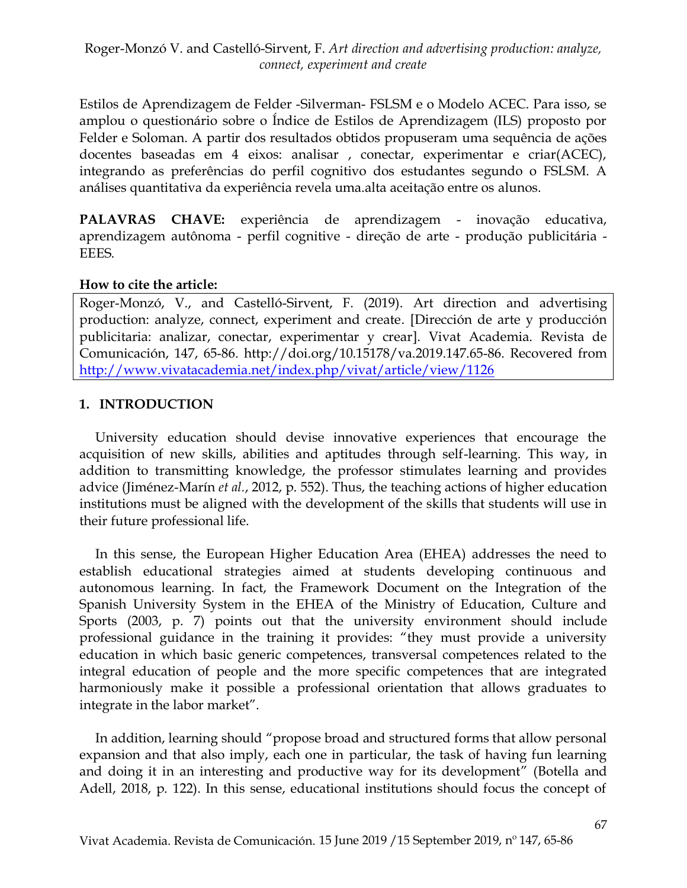Estilos de Aprendizagem de Felder -Silverman- FSLSM e o Modelo ACEC. Para isso, se amplou o questionário sobre o Índice de Estilos de Aprendizagem (ILS) proposto por Felder e Soloman. A partir dos resultados obtidos propuseram uma sequência de ações docentes baseadas em 4 eixos: analisar , conectar, experimentar e criar(ACEC), integrando as preferências do perfil cognitivo dos estudantes segundo o FSLSM. A análises quantitativa da experiência revela uma.alta aceitação entre os alunos.

**PALAVRAS CHAVE:** experiência de aprendizagem - inovação educativa, aprendizagem autônoma - perfil cognitive - direção de arte - produção publicitária - EEES.

#### **How to cite the article:**

Roger-Monzó, V., and Castelló-Sirvent, F. (2019). Art direction and advertising production: analyze, connect, experiment and create. [Dirección de arte y producción publicitaria: analizar, conectar, experimentar y crear]. Vivat Academia. Revista de Comunicación, 147, 65-86. http://doi.org/10.15178/va.2019.147.65-86. Recovered from <http://www.vivatacademia.net/index.php/vivat/article/view/1126>

# **1. INTRODUCTION**

University education should devise innovative experiences that encourage the acquisition of new skills, abilities and aptitudes through self-learning. This way, in addition to transmitting knowledge, the professor stimulates learning and provides advice (Jiménez-Marín *et al.*, 2012, p. 552). Thus, the teaching actions of higher education institutions must be aligned with the development of the skills that students will use in their future professional life.

In this sense, the European Higher Education Area (EHEA) addresses the need to establish educational strategies aimed at students developing continuous and autonomous learning. In fact, the Framework Document on the Integration of the Spanish University System in the EHEA of the Ministry of Education, Culture and Sports (2003, p. 7) points out that the university environment should include professional guidance in the training it provides: "they must provide a university education in which basic generic competences, transversal competences related to the integral education of people and the more specific competences that are integrated harmoniously make it possible a professional orientation that allows graduates to integrate in the labor market".

In addition, learning should "propose broad and structured forms that allow personal expansion and that also imply, each one in particular, the task of having fun learning and doing it in an interesting and productive way for its development" (Botella and Adell, 2018, p. 122). In this sense, educational institutions should focus the concept of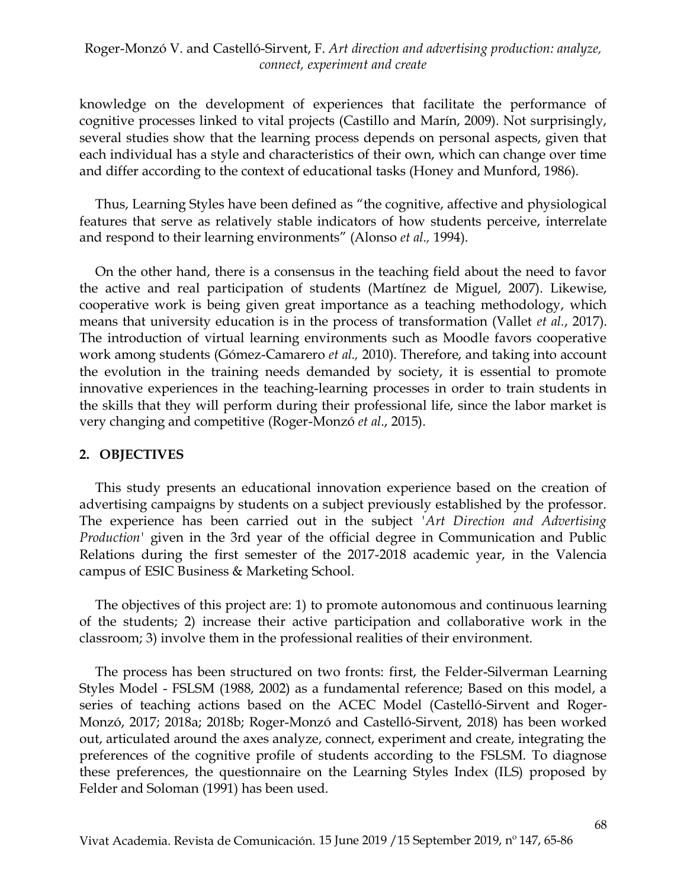knowledge on the development of experiences that facilitate the performance of cognitive processes linked to vital projects (Castillo and Marín, 2009). Not surprisingly, several studies show that the learning process depends on personal aspects, given that each individual has a style and characteristics of their own, which can change over time and differ according to the context of educational tasks (Honey and Munford, 1986).

Thus, Learning Styles have been defined as "the cognitive, affective and physiological features that serve as relatively stable indicators of how students perceive, interrelate and respond to their learning environments" (Alonso *et al.,* 1994).

On the other hand, there is a consensus in the teaching field about the need to favor the active and real participation of students (Martínez de Miguel, 2007). Likewise, cooperative work is being given great importance as a teaching methodology, which means that university education is in the process of transformation (Vallet *et al.*, 2017). The introduction of virtual learning environments such as Moodle favors cooperative work among students (Gómez-Camarero *et al.,* 2010). Therefore, and taking into account the evolution in the training needs demanded by society, it is essential to promote innovative experiences in the teaching-learning processes in order to train students in the skills that they will perform during their professional life, since the labor market is very changing and competitive (Roger-Monzó *et al*., 2015).

#### **2. OBJECTIVES**

This study presents an educational innovation experience based on the creation of advertising campaigns by students on a subject previously established by the professor. The experience has been carried out in the subject *'Art Direction and Advertising Production'* given in the 3rd year of the official degree in Communication and Public Relations during the first semester of the 2017-2018 academic year, in the Valencia campus of ESIC Business & Marketing School.

The objectives of this project are: 1) to promote autonomous and continuous learning of the students; 2) increase their active participation and collaborative work in the classroom; 3) involve them in the professional realities of their environment.

The process has been structured on two fronts: first, the Felder-Silverman Learning Styles Model - FSLSM (1988, 2002) as a fundamental reference; Based on this model, a series of teaching actions based on the ACEC Model (Castelló-Sirvent and Roger-Monzó, 2017; 2018a; 2018b; Roger-Monzó and Castelló-Sirvent, 2018) has been worked out, articulated around the axes analyze, connect, experiment and create, integrating the preferences of the cognitive profile of students according to the FSLSM. To diagnose these preferences, the questionnaire on the Learning Styles Index (ILS) proposed by Felder and Soloman (1991) has been used.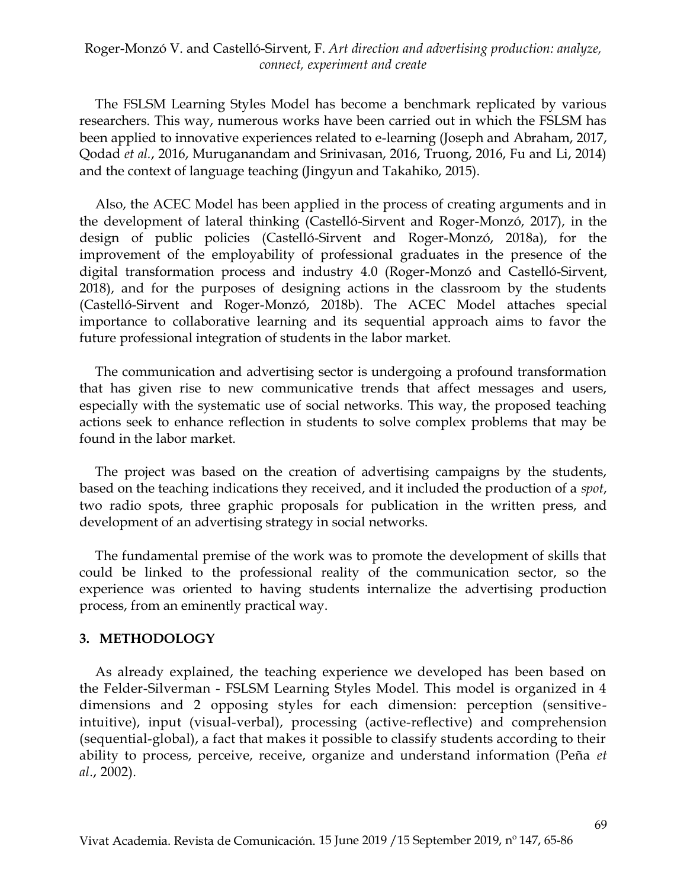The FSLSM Learning Styles Model has become a benchmark replicated by various researchers. This way, numerous works have been carried out in which the FSLSM has been applied to innovative experiences related to e-learning (Joseph and Abraham, 2017, Qodad *et al.*, 2016, Muruganandam and Srinivasan, 2016, Truong, 2016, Fu and Li, 2014) and the context of language teaching (Jingyun and Takahiko, 2015).

Also, the ACEC Model has been applied in the process of creating arguments and in the development of lateral thinking (Castelló-Sirvent and Roger-Monzó, 2017), in the design of public policies (Castelló-Sirvent and Roger-Monzó, 2018a), for the improvement of the employability of professional graduates in the presence of the digital transformation process and industry 4.0 (Roger-Monzó and Castelló-Sirvent, 2018), and for the purposes of designing actions in the classroom by the students (Castelló-Sirvent and Roger-Monzó, 2018b). The ACEC Model attaches special importance to collaborative learning and its sequential approach aims to favor the future professional integration of students in the labor market.

The communication and advertising sector is undergoing a profound transformation that has given rise to new communicative trends that affect messages and users, especially with the systematic use of social networks. This way, the proposed teaching actions seek to enhance reflection in students to solve complex problems that may be found in the labor market.

The project was based on the creation of advertising campaigns by the students, based on the teaching indications they received, and it included the production of a *spot*, two radio spots, three graphic proposals for publication in the written press, and development of an advertising strategy in social networks.

The fundamental premise of the work was to promote the development of skills that could be linked to the professional reality of the communication sector, so the experience was oriented to having students internalize the advertising production process, from an eminently practical way.

#### **3. METHODOLOGY**

As already explained, the teaching experience we developed has been based on the Felder-Silverman - FSLSM Learning Styles Model. This model is organized in 4 dimensions and 2 opposing styles for each dimension: perception (sensitiveintuitive), input (visual-verbal), processing (active-reflective) and comprehension (sequential-global), a fact that makes it possible to classify students according to their ability to process, perceive, receive, organize and understand information (Peña *et al*., 2002).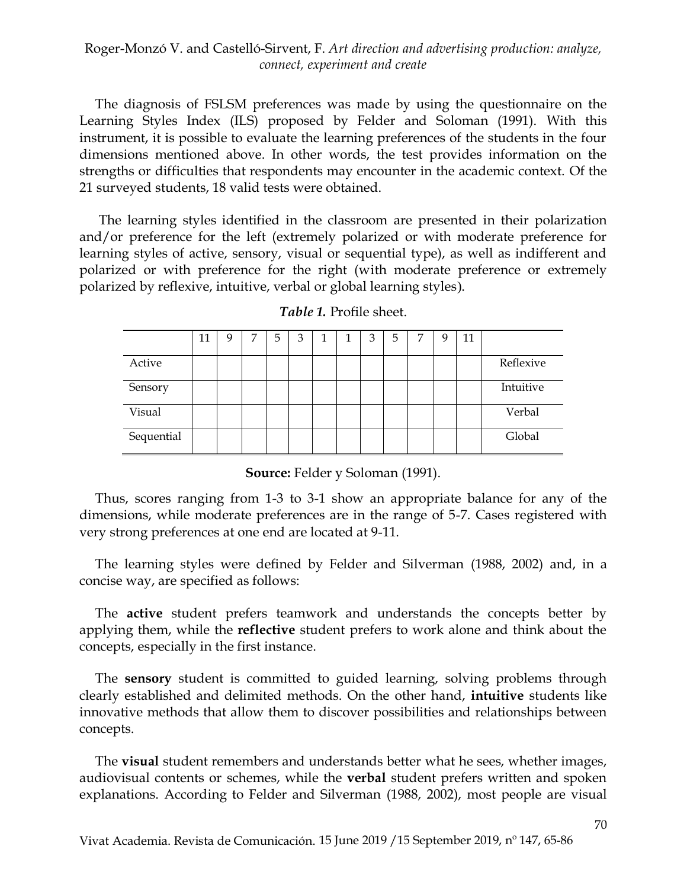The diagnosis of FSLSM preferences was made by using the questionnaire on the Learning Styles Index (ILS) proposed by Felder and Soloman (1991). With this instrument, it is possible to evaluate the learning preferences of the students in the four dimensions mentioned above. In other words, the test provides information on the strengths or difficulties that respondents may encounter in the academic context. Of the 21 surveyed students, 18 valid tests were obtained.

The learning styles identified in the classroom are presented in their polarization and/or preference for the left (extremely polarized or with moderate preference for learning styles of active, sensory, visual or sequential type), as well as indifferent and polarized or with preference for the right (with moderate preference or extremely polarized by reflexive, intuitive, verbal or global learning styles).

|            | 11 | 9 | 7 | 5 | 3 | 1 | 1 | 3 | 5 | 7 | q | 11 |           |
|------------|----|---|---|---|---|---|---|---|---|---|---|----|-----------|
| Active     |    |   |   |   |   |   |   |   |   |   |   |    | Reflexive |
| Sensory    |    |   |   |   |   |   |   |   |   |   |   |    | Intuitive |
| Visual     |    |   |   |   |   |   |   |   |   |   |   |    | Verbal    |
| Sequential |    |   |   |   |   |   |   |   |   |   |   |    | Global    |

*Table 1.* Profile sheet.

**Source:** Felder y Soloman (1991).

Thus, scores ranging from 1-3 to 3-1 show an appropriate balance for any of the dimensions, while moderate preferences are in the range of 5-7. Cases registered with very strong preferences at one end are located at 9-11.

The learning styles were defined by Felder and Silverman (1988, 2002) and, in a concise way, are specified as follows:

The **active** student prefers teamwork and understands the concepts better by applying them, while the **reflective** student prefers to work alone and think about the concepts, especially in the first instance.

The **sensory** student is committed to guided learning, solving problems through clearly established and delimited methods. On the other hand, **intuitive** students like innovative methods that allow them to discover possibilities and relationships between concepts.

The **visual** student remembers and understands better what he sees, whether images, audiovisual contents or schemes, while the **verbal** student prefers written and spoken explanations. According to Felder and Silverman (1988, 2002), most people are visual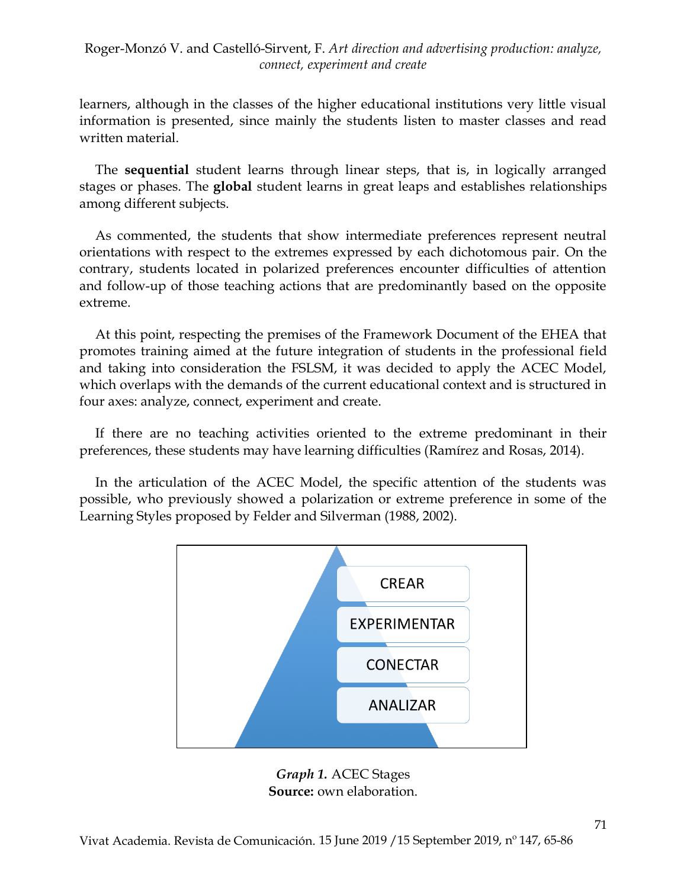learners, although in the classes of the higher educational institutions very little visual information is presented, since mainly the students listen to master classes and read written material.

The **sequential** student learns through linear steps, that is, in logically arranged stages or phases. The **global** student learns in great leaps and establishes relationships among different subjects.

As commented, the students that show intermediate preferences represent neutral orientations with respect to the extremes expressed by each dichotomous pair. On the contrary, students located in polarized preferences encounter difficulties of attention and follow-up of those teaching actions that are predominantly based on the opposite extreme.

At this point, respecting the premises of the Framework Document of the EHEA that promotes training aimed at the future integration of students in the professional field and taking into consideration the FSLSM, it was decided to apply the ACEC Model, which overlaps with the demands of the current educational context and is structured in four axes: analyze, connect, experiment and create.

If there are no teaching activities oriented to the extreme predominant in their preferences, these students may have learning difficulties (Ramírez and Rosas, 2014).

In the articulation of the ACEC Model, the specific attention of the students was possible, who previously showed a polarization or extreme preference in some of the Learning Styles proposed by Felder and Silverman (1988, 2002).



*Graph 1.* ACEC Stages **Source:** own elaboration.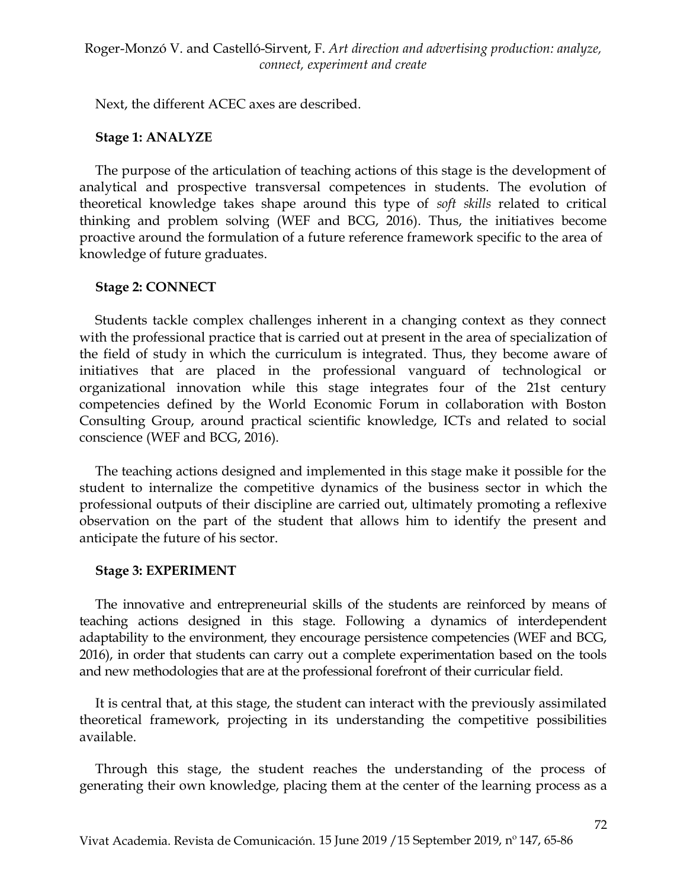Next, the different ACEC axes are described.

## **Stage 1: ANALYZE**

The purpose of the articulation of teaching actions of this stage is the development of analytical and prospective transversal competences in students. The evolution of theoretical knowledge takes shape around this type of *soft skills* related to critical thinking and problem solving (WEF and BCG, 2016). Thus, the initiatives become proactive around the formulation of a future reference framework specific to the area of knowledge of future graduates.

# **Stage 2: CONNECT**

Students tackle complex challenges inherent in a changing context as they connect with the professional practice that is carried out at present in the area of specialization of the field of study in which the curriculum is integrated. Thus, they become aware of initiatives that are placed in the professional vanguard of technological or organizational innovation while this stage integrates four of the 21st century competencies defined by the World Economic Forum in collaboration with Boston Consulting Group, around practical scientific knowledge, ICTs and related to social conscience (WEF and BCG, 2016).

The teaching actions designed and implemented in this stage make it possible for the student to internalize the competitive dynamics of the business sector in which the professional outputs of their discipline are carried out, ultimately promoting a reflexive observation on the part of the student that allows him to identify the present and anticipate the future of his sector.

#### **Stage 3: EXPERIMENT**

The innovative and entrepreneurial skills of the students are reinforced by means of teaching actions designed in this stage. Following a dynamics of interdependent adaptability to the environment, they encourage persistence competencies (WEF and BCG, 2016), in order that students can carry out a complete experimentation based on the tools and new methodologies that are at the professional forefront of their curricular field.

It is central that, at this stage, the student can interact with the previously assimilated theoretical framework, projecting in its understanding the competitive possibilities available.

Through this stage, the student reaches the understanding of the process of generating their own knowledge, placing them at the center of the learning process as a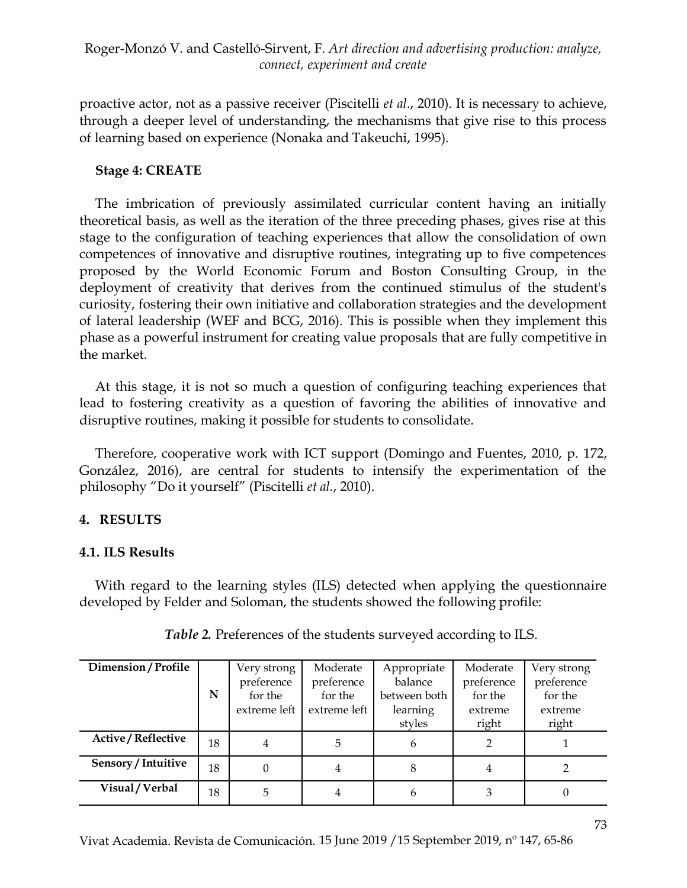proactive actor, not as a passive receiver (Piscitelli *et al*., 2010). It is necessary to achieve, through a deeper level of understanding, the mechanisms that give rise to this process of learning based on experience (Nonaka and Takeuchi, 1995).

#### **Stage 4: CREATE**

The imbrication of previously assimilated curricular content having an initially theoretical basis, as well as the iteration of the three preceding phases, gives rise at this stage to the configuration of teaching experiences that allow the consolidation of own competences of innovative and disruptive routines, integrating up to five competences proposed by the World Economic Forum and Boston Consulting Group, in the deployment of creativity that derives from the continued stimulus of the student's curiosity, fostering their own initiative and collaboration strategies and the development of lateral leadership (WEF and BCG, 2016). This is possible when they implement this phase as a powerful instrument for creating value proposals that are fully competitive in the market.

At this stage, it is not so much a question of configuring teaching experiences that lead to fostering creativity as a question of favoring the abilities of innovative and disruptive routines, making it possible for students to consolidate.

Therefore, cooperative work with ICT support (Domingo and Fuentes, 2010, p. 172, González, 2016), are central for students to intensify the experimentation of the philosophy "Do it yourself" (Piscitelli *et al.*, 2010).

# **4. RESULTS**

# **4.1. ILS Results**

With regard to the learning styles (ILS) detected when applying the questionnaire developed by Felder and Soloman, the students showed the following profile:

| Dimension / Profile        | N  | Very strong<br>preference<br>for the<br>extreme left | Moderate<br>preference<br>for the<br>extreme left | Appropriate<br>balance<br>between both<br>learning<br>styles | Moderate<br>preference<br>for the<br>extreme<br>right | Very strong<br>preference<br>for the<br>extreme<br>right |
|----------------------------|----|------------------------------------------------------|---------------------------------------------------|--------------------------------------------------------------|-------------------------------------------------------|----------------------------------------------------------|
| <b>Active / Reflective</b> | 18 | 4                                                    | 5                                                 | 6                                                            |                                                       |                                                          |
| Sensory / Intuitive        | 18 | 0                                                    | 4                                                 | 8                                                            | 4                                                     |                                                          |
| Visual / Verbal            | 18 | 5                                                    | 4                                                 | 6                                                            | 3                                                     | $\theta$                                                 |

*Table 2.* Preferences of the students surveyed according to ILS.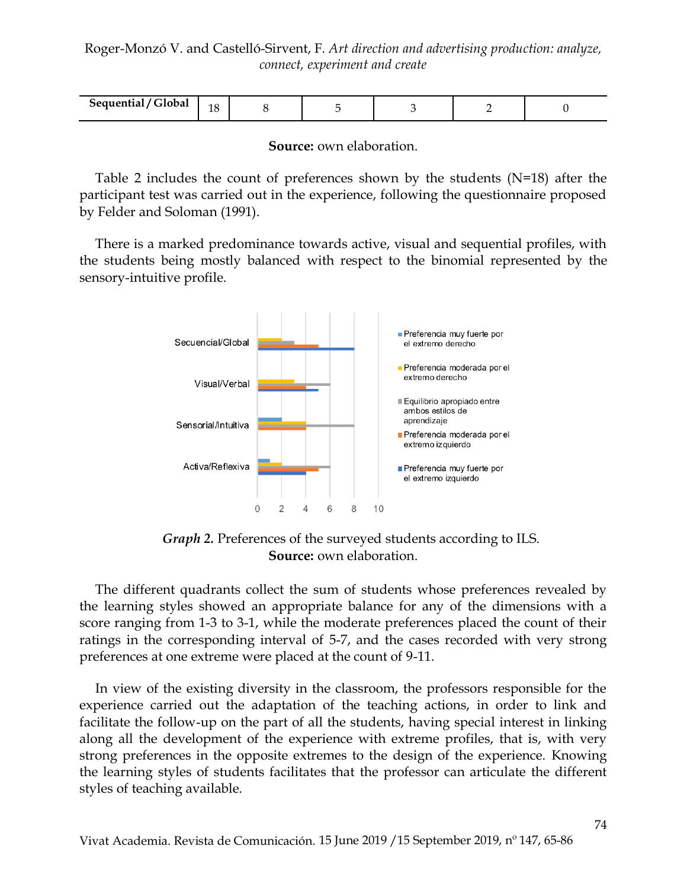| Sequential<br>$'$ oka<br><b>GIODAL</b><br>------- | $\Delta$<br>T |  |  |  |  |  |
|---------------------------------------------------|---------------|--|--|--|--|--|
|---------------------------------------------------|---------------|--|--|--|--|--|

**Source:** own elaboration.

Table 2 includes the count of preferences shown by the students (N=18) after the participant test was carried out in the experience, following the questionnaire proposed by Felder and Soloman (1991).

There is a marked predominance towards active, visual and sequential profiles, with the students being mostly balanced with respect to the binomial represented by the sensory-intuitive profile.



*Graph 2.* Preferences of the surveyed students according to ILS. **Source:** own elaboration.

The different quadrants collect the sum of students whose preferences revealed by the learning styles showed an appropriate balance for any of the dimensions with a score ranging from 1-3 to 3-1, while the moderate preferences placed the count of their ratings in the corresponding interval of 5-7, and the cases recorded with very strong preferences at one extreme were placed at the count of 9-11.

In view of the existing diversity in the classroom, the professors responsible for the experience carried out the adaptation of the teaching actions, in order to link and facilitate the follow-up on the part of all the students, having special interest in linking along all the development of the experience with extreme profiles, that is, with very strong preferences in the opposite extremes to the design of the experience. Knowing the learning styles of students facilitates that the professor can articulate the different styles of teaching available.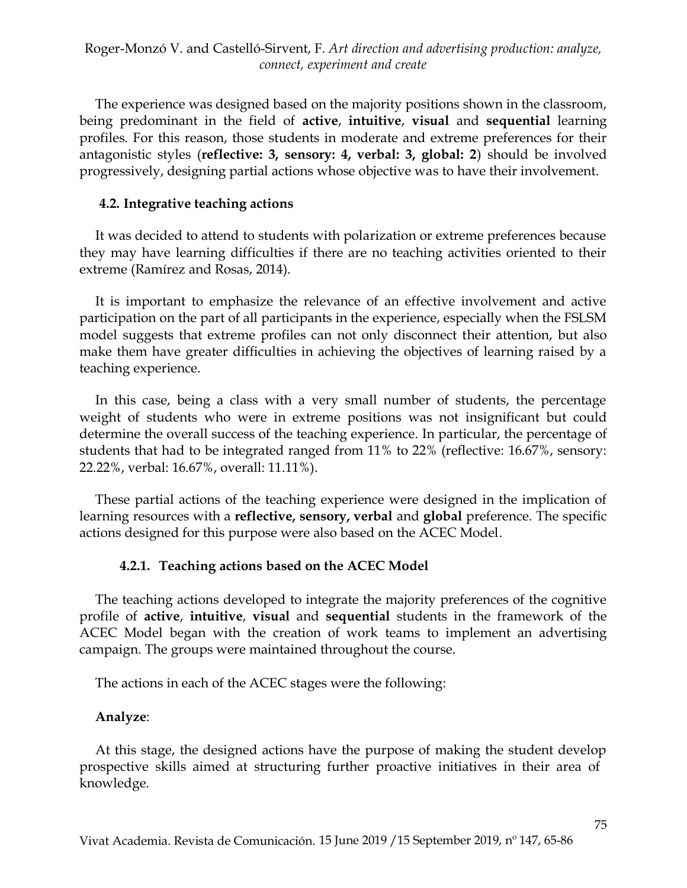The experience was designed based on the majority positions shown in the classroom, being predominant in the field of **active**, **intuitive**, **visual** and **sequential** learning profiles. For this reason, those students in moderate and extreme preferences for their antagonistic styles (**reflective: 3, sensory: 4, verbal: 3, global: 2**) should be involved progressively, designing partial actions whose objective was to have their involvement.

#### **4.2. Integrative teaching actions**

It was decided to attend to students with polarization or extreme preferences because they may have learning difficulties if there are no teaching activities oriented to their extreme (Ramírez and Rosas, 2014).

It is important to emphasize the relevance of an effective involvement and active participation on the part of all participants in the experience, especially when the FSLSM model suggests that extreme profiles can not only disconnect their attention, but also make them have greater difficulties in achieving the objectives of learning raised by a teaching experience.

In this case, being a class with a very small number of students, the percentage weight of students who were in extreme positions was not insignificant but could determine the overall success of the teaching experience. In particular, the percentage of students that had to be integrated ranged from 11% to 22% (reflective: 16.67%, sensory: 22.22%, verbal: 16.67%, overall: 11.11%).

These partial actions of the teaching experience were designed in the implication of learning resources with a **reflective, sensory, verbal** and **global** preference. The specific actions designed for this purpose were also based on the ACEC Model.

# **4.2.1. Teaching actions based on the ACEC Model**

The teaching actions developed to integrate the majority preferences of the cognitive profile of **active**, **intuitive**, **visual** and **sequential** students in the framework of the ACEC Model began with the creation of work teams to implement an advertising campaign. The groups were maintained throughout the course.

The actions in each of the ACEC stages were the following:

# **Analyze**:

At this stage, the designed actions have the purpose of making the student develop prospective skills aimed at structuring further proactive initiatives in their area of knowledge.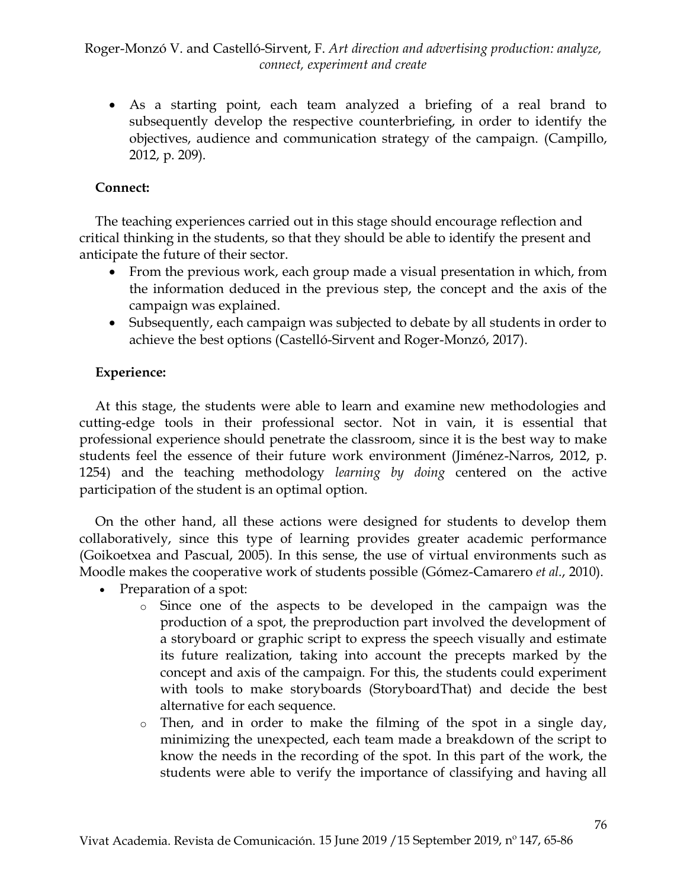As a starting point, each team analyzed a briefing of a real brand to subsequently develop the respective counterbriefing, in order to identify the objectives, audience and communication strategy of the campaign. (Campillo, 2012, p. 209).

# **Connect:**

The teaching experiences carried out in this stage should encourage reflection and critical thinking in the students, so that they should be able to identify the present and anticipate the future of their sector.

- From the previous work, each group made a visual presentation in which, from the information deduced in the previous step, the concept and the axis of the campaign was explained.
- Subsequently, each campaign was subjected to debate by all students in order to achieve the best options (Castelló-Sirvent and Roger-Monzó, 2017).

## **Experience:**

At this stage, the students were able to learn and examine new methodologies and cutting-edge tools in their professional sector. Not in vain, it is essential that professional experience should penetrate the classroom, since it is the best way to make students feel the essence of their future work environment (Jiménez-Narros, 2012, p. 1254) and the teaching methodology *learning by doing* centered on the active participation of the student is an optimal option.

On the other hand, all these actions were designed for students to develop them collaboratively, since this type of learning provides greater academic performance (Goikoetxea and Pascual, 2005). In this sense, the use of virtual environments such as Moodle makes the cooperative work of students possible (Gómez-Camarero *et al.*, 2010).

- Preparation of a spot:
	- o Since one of the aspects to be developed in the campaign was the production of a spot, the preproduction part involved the development of a storyboard or graphic script to express the speech visually and estimate its future realization, taking into account the precepts marked by the concept and axis of the campaign. For this, the students could experiment with tools to make storyboards (StoryboardThat) and decide the best alternative for each sequence.
	- $\circ$  Then, and in order to make the filming of the spot in a single day, minimizing the unexpected, each team made a breakdown of the script to know the needs in the recording of the spot. In this part of the work, the students were able to verify the importance of classifying and having all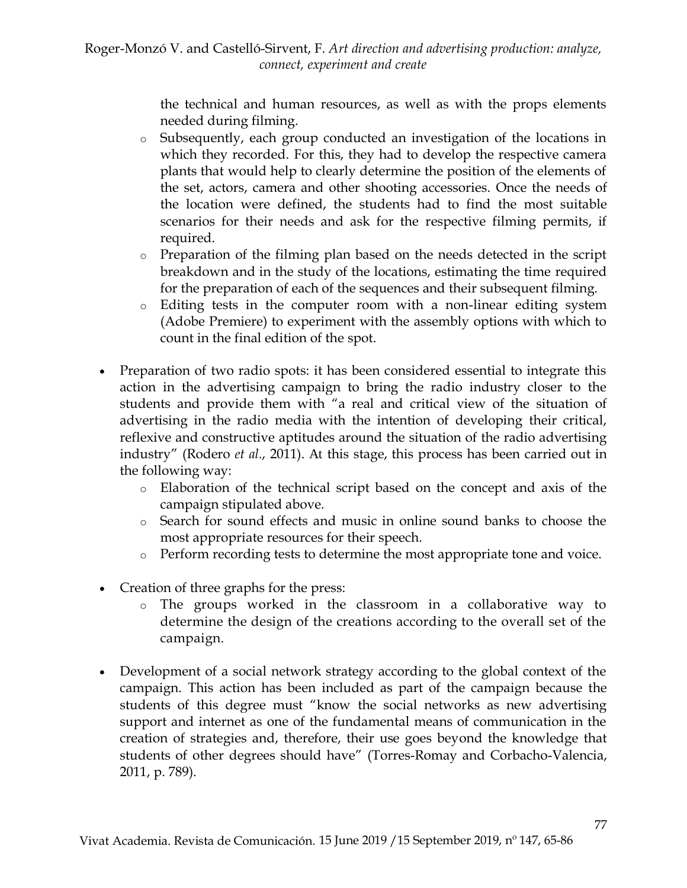the technical and human resources, as well as with the props elements needed during filming.

- o Subsequently, each group conducted an investigation of the locations in which they recorded. For this, they had to develop the respective camera plants that would help to clearly determine the position of the elements of the set, actors, camera and other shooting accessories. Once the needs of the location were defined, the students had to find the most suitable scenarios for their needs and ask for the respective filming permits, if required.
- o Preparation of the filming plan based on the needs detected in the script breakdown and in the study of the locations, estimating the time required for the preparation of each of the sequences and their subsequent filming.
- o Editing tests in the computer room with a non-linear editing system (Adobe Premiere) to experiment with the assembly options with which to count in the final edition of the spot.
- Preparation of two radio spots: it has been considered essential to integrate this action in the advertising campaign to bring the radio industry closer to the students and provide them with "a real and critical view of the situation of advertising in the radio media with the intention of developing their critical, reflexive and constructive aptitudes around the situation of the radio advertising industry" (Rodero *et al.*, 2011). At this stage, this process has been carried out in the following way:
	- o Elaboration of the technical script based on the concept and axis of the campaign stipulated above.
	- o Search for sound effects and music in online sound banks to choose the most appropriate resources for their speech.
	- o Perform recording tests to determine the most appropriate tone and voice.
- Creation of three graphs for the press:
	- o The groups worked in the classroom in a collaborative way to determine the design of the creations according to the overall set of the campaign.
- Development of a social network strategy according to the global context of the campaign. This action has been included as part of the campaign because the students of this degree must "know the social networks as new advertising support and internet as one of the fundamental means of communication in the creation of strategies and, therefore, their use goes beyond the knowledge that students of other degrees should have" (Torres-Romay and Corbacho-Valencia, 2011, p. 789).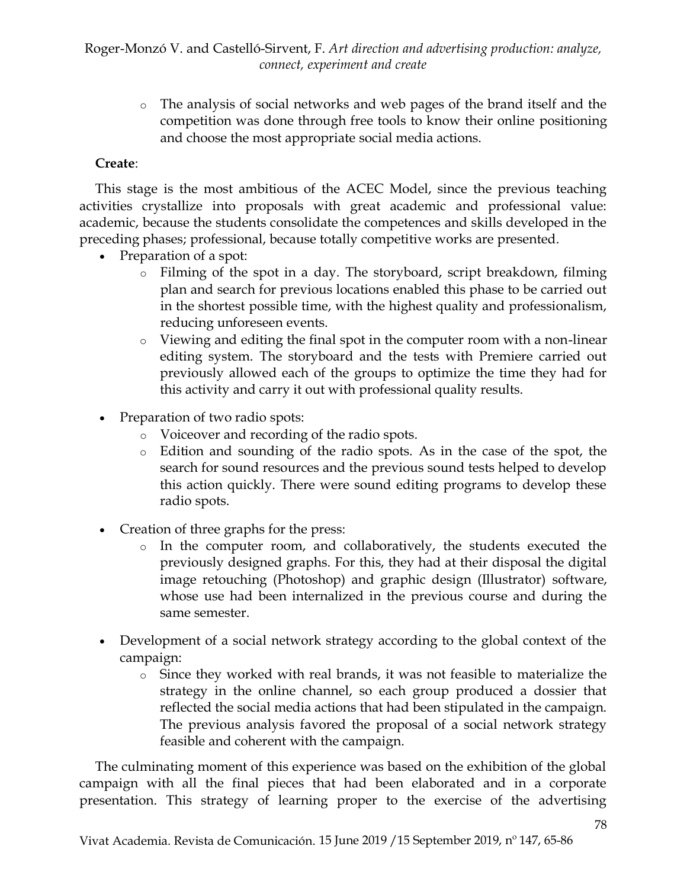o The analysis of social networks and web pages of the brand itself and the competition was done through free tools to know their online positioning and choose the most appropriate social media actions.

# **Create**:

This stage is the most ambitious of the ACEC Model, since the previous teaching activities crystallize into proposals with great academic and professional value: academic, because the students consolidate the competences and skills developed in the preceding phases; professional, because totally competitive works are presented.

- Preparation of a spot:
	- o Filming of the spot in a day. The storyboard, script breakdown, filming plan and search for previous locations enabled this phase to be carried out in the shortest possible time, with the highest quality and professionalism, reducing unforeseen events.
	- o Viewing and editing the final spot in the computer room with a non-linear editing system. The storyboard and the tests with Premiere carried out previously allowed each of the groups to optimize the time they had for this activity and carry it out with professional quality results.
- Preparation of two radio spots:
	- o Voiceover and recording of the radio spots.
	- o Edition and sounding of the radio spots. As in the case of the spot, the search for sound resources and the previous sound tests helped to develop this action quickly. There were sound editing programs to develop these radio spots.
- Creation of three graphs for the press:
	- o In the computer room, and collaboratively, the students executed the previously designed graphs. For this, they had at their disposal the digital image retouching (Photoshop) and graphic design (Illustrator) software, whose use had been internalized in the previous course and during the same semester.
- Development of a social network strategy according to the global context of the campaign:
	- o Since they worked with real brands, it was not feasible to materialize the strategy in the online channel, so each group produced a dossier that reflected the social media actions that had been stipulated in the campaign. The previous analysis favored the proposal of a social network strategy feasible and coherent with the campaign.

The culminating moment of this experience was based on the exhibition of the global campaign with all the final pieces that had been elaborated and in a corporate presentation. This strategy of learning proper to the exercise of the advertising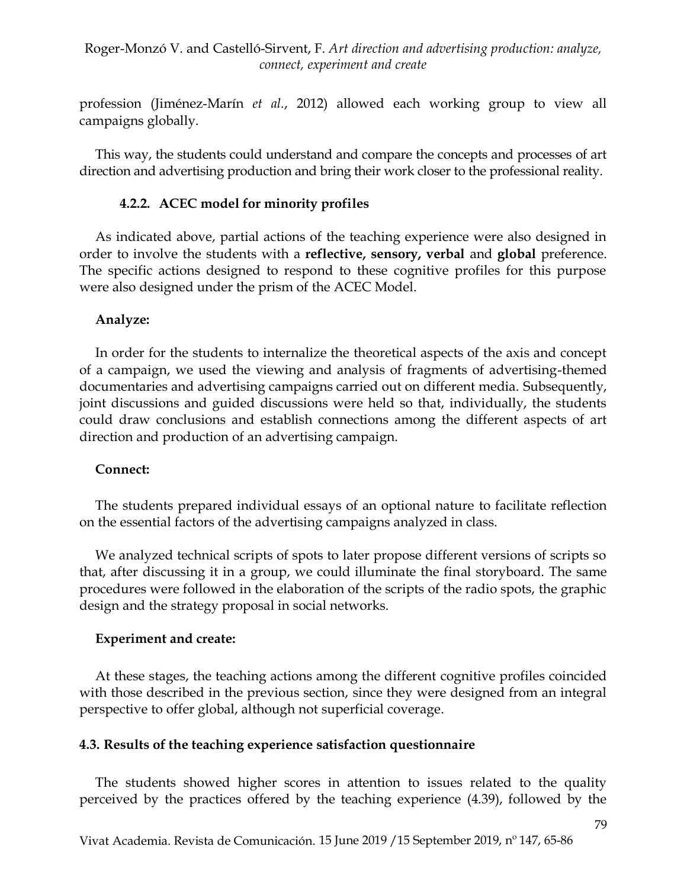profession (Jiménez-Marín *et al.*, 2012) allowed each working group to view all campaigns globally.

This way, the students could understand and compare the concepts and processes of art direction and advertising production and bring their work closer to the professional reality.

## **4.2.2. ACEC model for minority profiles**

As indicated above, partial actions of the teaching experience were also designed in order to involve the students with a **reflective, sensory, verbal** and **global** preference. The specific actions designed to respond to these cognitive profiles for this purpose were also designed under the prism of the ACEC Model.

## **Analyze:**

In order for the students to internalize the theoretical aspects of the axis and concept of a campaign, we used the viewing and analysis of fragments of advertising-themed documentaries and advertising campaigns carried out on different media. Subsequently, joint discussions and guided discussions were held so that, individually, the students could draw conclusions and establish connections among the different aspects of art direction and production of an advertising campaign.

#### **Connect:**

The students prepared individual essays of an optional nature to facilitate reflection on the essential factors of the advertising campaigns analyzed in class.

We analyzed technical scripts of spots to later propose different versions of scripts so that, after discussing it in a group, we could illuminate the final storyboard. The same procedures were followed in the elaboration of the scripts of the radio spots, the graphic design and the strategy proposal in social networks.

# **Experiment and create:**

At these stages, the teaching actions among the different cognitive profiles coincided with those described in the previous section, since they were designed from an integral perspective to offer global, although not superficial coverage.

#### **4.3. Results of the teaching experience satisfaction questionnaire**

The students showed higher scores in attention to issues related to the quality perceived by the practices offered by the teaching experience (4.39), followed by the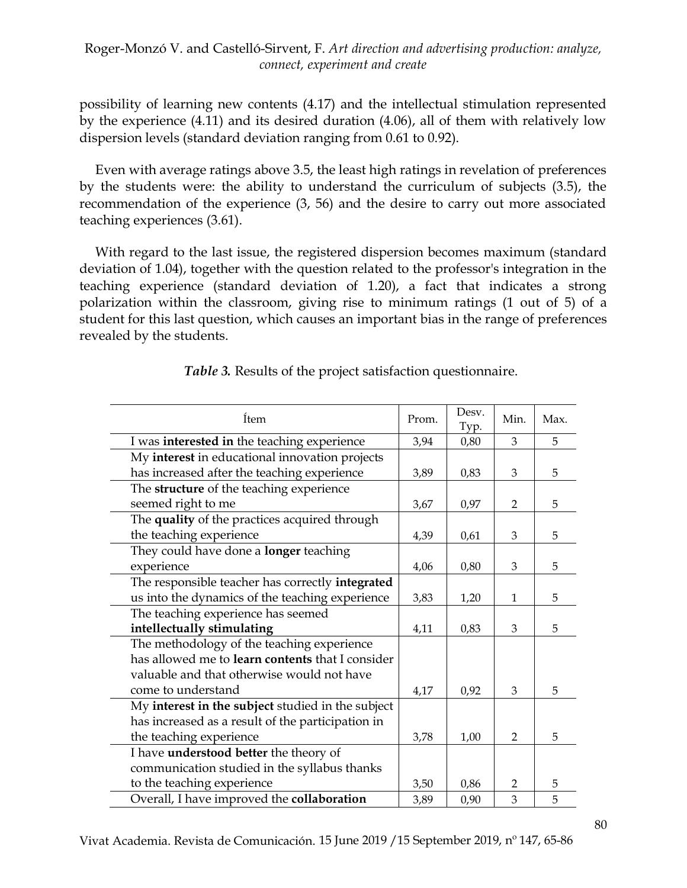possibility of learning new contents (4.17) and the intellectual stimulation represented by the experience (4.11) and its desired duration (4.06), all of them with relatively low dispersion levels (standard deviation ranging from 0.61 to 0.92).

Even with average ratings above 3.5, the least high ratings in revelation of preferences by the students were: the ability to understand the curriculum of subjects (3.5), the recommendation of the experience (3, 56) and the desire to carry out more associated teaching experiences (3.61).

With regard to the last issue, the registered dispersion becomes maximum (standard deviation of 1.04), together with the question related to the professor's integration in the teaching experience (standard deviation of 1.20), a fact that indicates a strong polarization within the classroom, giving rise to minimum ratings (1 out of 5) of a student for this last question, which causes an important bias in the range of preferences revealed by the students.

| Ítem                                                    | Prom. | Desv. | Min.           | Max. |
|---------------------------------------------------------|-------|-------|----------------|------|
|                                                         |       | Typ.  |                |      |
| I was interested in the teaching experience             | 3,94  | 0,80  | 3              | 5    |
| My interest in educational innovation projects          |       |       |                |      |
| has increased after the teaching experience             | 3,89  | 0,83  | 3              | 5    |
| The structure of the teaching experience                |       |       |                |      |
| seemed right to me                                      | 3,67  | 0,97  | $\overline{2}$ | 5    |
| The quality of the practices acquired through           |       |       |                |      |
| the teaching experience                                 | 4,39  | 0,61  | 3              | 5    |
| They could have done a longer teaching                  |       |       |                |      |
| experience                                              | 4,06  | 0,80  | 3              | 5    |
| The responsible teacher has correctly integrated        |       |       |                |      |
| us into the dynamics of the teaching experience         | 3,83  | 1,20  | $\mathbf{1}$   | 5    |
| The teaching experience has seemed                      |       |       |                |      |
| intellectually stimulating                              | 4,11  | 0,83  | 3              | 5    |
| The methodology of the teaching experience              |       |       |                |      |
| has allowed me to <b>learn contents</b> that I consider |       |       |                |      |
| valuable and that otherwise would not have              |       |       |                |      |
| come to understand                                      | 4,17  | 0,92  | 3              | 5    |
| My interest in the subject studied in the subject       |       |       |                |      |
| has increased as a result of the participation in       |       |       |                |      |
| the teaching experience                                 | 3,78  | 1,00  | 2              | 5    |
| I have <b>understood better</b> the theory of           |       |       |                |      |
| communication studied in the syllabus thanks            |       |       |                |      |
| to the teaching experience                              | 3,50  | 0,86  | 2              | 5    |
| Overall, I have improved the collaboration              | 3,89  | 0,90  | 3              | 5    |

#### *Table 3.* Results of the project satisfaction questionnaire.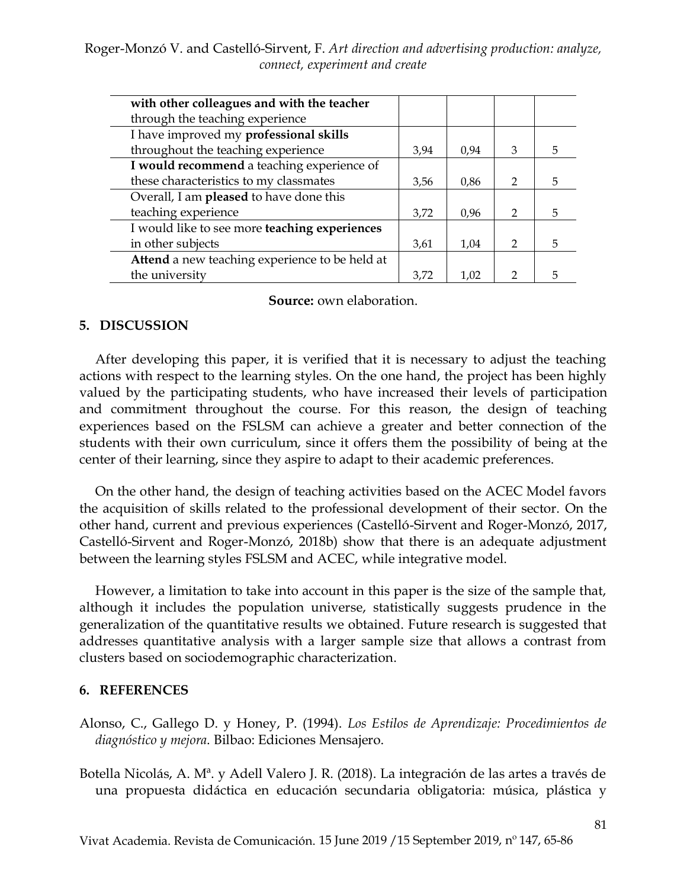| with other colleagues and with the teacher           |      |      |               |   |
|------------------------------------------------------|------|------|---------------|---|
| through the teaching experience                      |      |      |               |   |
| I have improved my professional skills               |      |      |               |   |
| throughout the teaching experience                   | 3,94 | 0.94 | 3             | 5 |
| I would recommend a teaching experience of           |      |      |               |   |
| these characteristics to my classmates               | 3,56 | 0,86 | $\mathcal{P}$ | 5 |
| Overall, I am pleased to have done this              |      |      |               |   |
| teaching experience                                  | 3,72 | 0.96 | $\mathcal{P}$ | 5 |
| I would like to see more <b>teaching</b> experiences |      |      |               |   |
| in other subjects                                    | 3,61 | 1,04 | $\mathcal{D}$ | 5 |
| Attend a new teaching experience to be held at       |      |      |               |   |
| the university                                       | 3.72 | 1.02 | $\mathcal{D}$ |   |

**Source:** own elaboration.

#### **5. DISCUSSION**

After developing this paper, it is verified that it is necessary to adjust the teaching actions with respect to the learning styles. On the one hand, the project has been highly valued by the participating students, who have increased their levels of participation and commitment throughout the course. For this reason, the design of teaching experiences based on the FSLSM can achieve a greater and better connection of the students with their own curriculum, since it offers them the possibility of being at the center of their learning, since they aspire to adapt to their academic preferences.

On the other hand, the design of teaching activities based on the ACEC Model favors the acquisition of skills related to the professional development of their sector. On the other hand, current and previous experiences (Castelló-Sirvent and Roger-Monzó, 2017, Castelló-Sirvent and Roger-Monzó, 2018b) show that there is an adequate adjustment between the learning styles FSLSM and ACEC, while integrative model.

However, a limitation to take into account in this paper is the size of the sample that, although it includes the population universe, statistically suggests prudence in the generalization of the quantitative results we obtained. Future research is suggested that addresses quantitative analysis with a larger sample size that allows a contrast from clusters based on sociodemographic characterization.

#### **6. REFERENCES**

Alonso, C., Gallego D. y Honey, P. (1994). *Los Estilos de Aprendizaje: Procedimientos de diagnóstico y mejora*. Bilbao: Ediciones Mensajero.

Botella Nicolás, A. Mª. y Adell Valero J. R. (2018). La integración de las artes a través de una propuesta didáctica en educación secundaria obligatoria: música, plástica y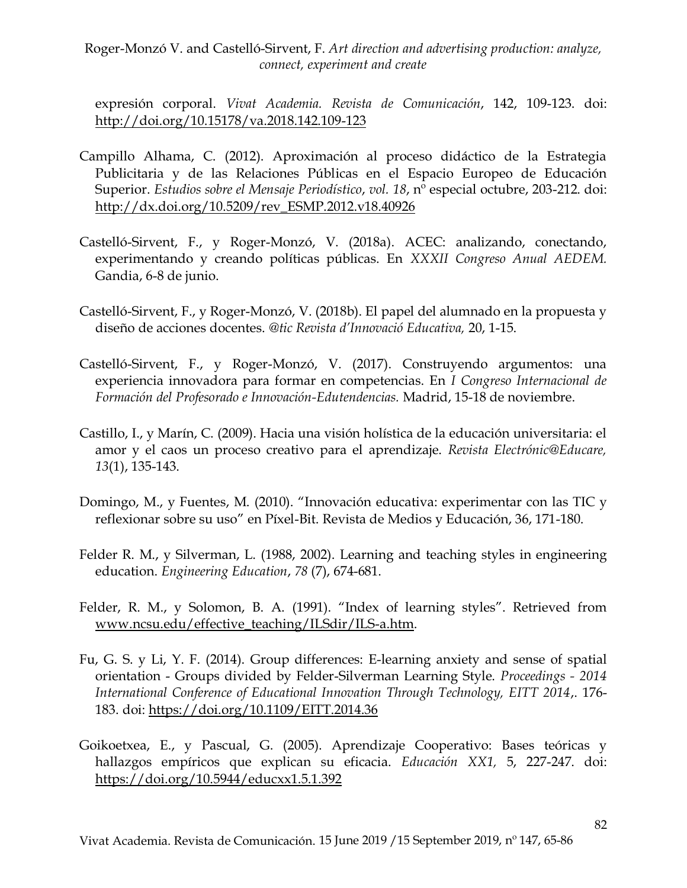expresión corporal. *Vivat Academia. Revista de Comunicación*, 142, 109-123. doi: <http://doi.org/10.15178/va.2018.142.109-123>

- Campillo Alhama, C. (2012). Aproximación al proceso didáctico de la Estrategia Publicitaria y de las Relaciones Públicas en el Espacio Europeo de Educación Superior. *Estudios sobre el Mensaje Periodístico*, *vol. 18*, nº especial octubre, 203-212. doi: [http://dx.doi.org/10.5209/rev\\_ESMP.2012.v18.40926](http://dx.doi.org/10.5209/rev_ESMP.2012.v18.40926)
- Castelló-Sirvent, F., y Roger-Monzó, V. (2018a). ACEC: analizando, conectando, experimentando y creando políticas públicas. En *XXXII Congreso Anual AEDEM.* Gandia, 6-8 de junio.
- Castelló-Sirvent, F., y Roger-Monzó, V. (2018b). El papel del alumnado en la propuesta y diseño de acciones docentes. *@tic Revista d'Innovació Educativa,* 20, 1-15.
- Castelló-Sirvent, F., y Roger-Monzó, V. (2017). Construyendo argumentos: una experiencia innovadora para formar en competencias. En *I Congreso Internacional de Formación del Profesorado e Innovación-Edutendencias.* Madrid, 15-18 de noviembre.
- Castillo, I., y Marín, C. (2009). Hacia una visión holística de la educación universitaria: el amor y el caos un proceso creativo para el aprendizaje. *Revista Electrónic@Educare, 13*(1), 135-143.
- Domingo, M., y Fuentes, M. (2010). "Innovación educativa: experimentar con las TIC y reflexionar sobre su uso" en Píxel-Bit. Revista de Medios y Educación, 36, 171-180.
- Felder R. M., y Silverman, L. (1988, 2002). Learning and teaching styles in engineering education. *Engineering Education*, *78* (7), 674-681.
- Felder, R. M., y Solomon, B. A. (1991). "Index of learning styles". Retrieved from [www.ncsu.edu/effective\\_teaching/ILSdir/ILS-a.htm.](http://www.ncsu.edu/effective_teaching/ILSdir/ILS-a.htm)
- Fu, G. S. y Li, Y. F. (2014). Group differences: E-learning anxiety and sense of spatial orientation - Groups divided by Felder-Silverman Learning Style. *Proceedings - 2014 International Conference of Educational Innovation Through Technology, EITT 2014*,. 176- 183. doi:<https://doi.org/10.1109/EITT.2014.36>
- Goikoetxea, E., y Pascual, G. (2005). Aprendizaje Cooperativo: Bases teóricas y hallazgos empíricos que explican su eficacia. *Educación XX1,* 5, 227-247. doi: <https://doi.org/10.5944/educxx1.5.1.392>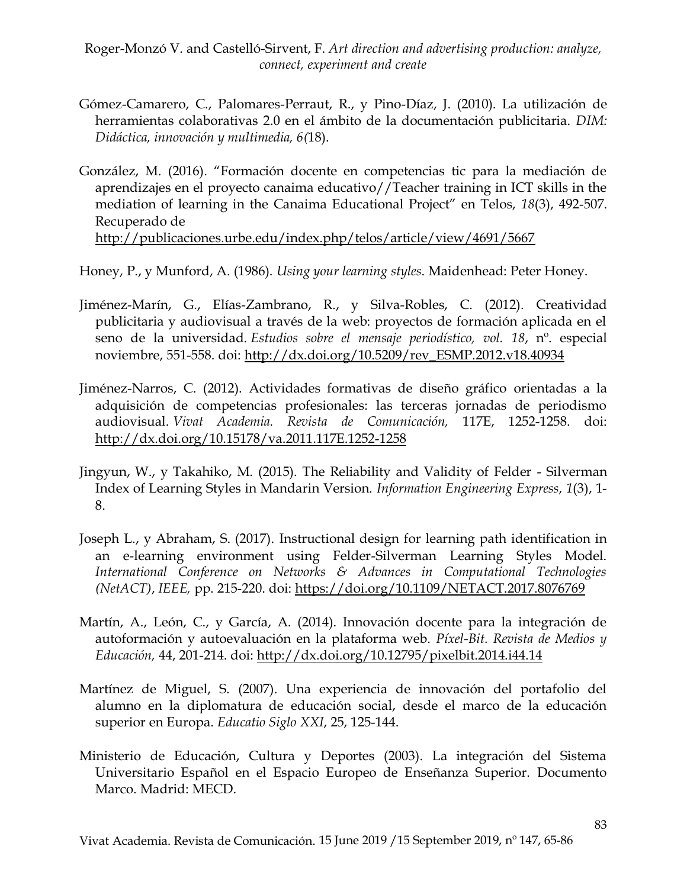- Gómez-Camarero, C., Palomares-Perraut, R., y Pino-Díaz, J. (2010). La utilización de herramientas colaborativas 2.0 en el ámbito de la documentación publicitaria. *DIM: Didáctica, innovación y multimedia, 6(*18).
- González, M. (2016). "Formación docente en competencias tic para la mediación de aprendizajes en el proyecto canaima educativo//Teacher training in ICT skills in the mediation of learning in the Canaima Educational Project" en Telos, *18*(3), 492-507. Recuperado de <http://publicaciones.urbe.edu/index.php/telos/article/view/4691/5667>

Honey, P., y Munford, A. (1986). *Using your learning styles*. Maidenhead: Peter Honey.

- Jiménez-Marín, G., Elías-Zambrano, R., y Silva-Robles, C. (2012). Creatividad publicitaria y audiovisual a través de la web: proyectos de formación aplicada en el seno de la universidad. *Estudios sobre el mensaje periodístico, vol. 18*, nº. especial noviembre, 551-558. doi: [http://dx.doi.org/10.5209/rev\\_ESMP.2012.v18.40934](http://dx.doi.org/10.5209/rev_ESMP.2012.v18.40934)
- Jiménez-Narros, C. (2012). Actividades formativas de diseño gráfico orientadas a la adquisición de competencias profesionales: las terceras jornadas de periodismo audiovisual. *Vivat Academia. Revista de Comunicación,* 117E, 1252-1258. doi: <http://dx.doi.org/10.15178/va.2011.117E.1252-1258>
- Jingyun, W., y Takahiko, M. (2015). The Reliability and Validity of Felder Silverman Index of Learning Styles in Mandarin Version. *Information Engineering Express*, *1*(3), 1- 8.
- Joseph L., y Abraham, S. (2017). Instructional design for learning path identification in an e-learning environment using Felder-Silverman Learning Styles Model. *International Conference on Networks & Advances in Computational Technologies (NetACT)*, *IEEE,* pp. 215-220. doi:<https://doi.org/10.1109/NETACT.2017.8076769>
- Martín, A., León, C., y García, A. (2014). Innovación docente para la integración de autoformación y autoevaluación en la plataforma web. *Píxel-Bit. Revista de Medios y Educación,* 44, 201-214. doi:<http://dx.doi.org/10.12795/pixelbit.2014.i44.14>
- Martínez de Miguel, S. (2007). Una experiencia de innovación del portafolio del alumno en la diplomatura de educación social, desde el marco de la educación superior en Europa. *Educatio Siglo XXI*, 25, 125-144.
- Ministerio de Educación, Cultura y Deportes (2003). La integración del Sistema Universitario Español en el Espacio Europeo de Enseñanza Superior. Documento Marco. Madrid: MECD.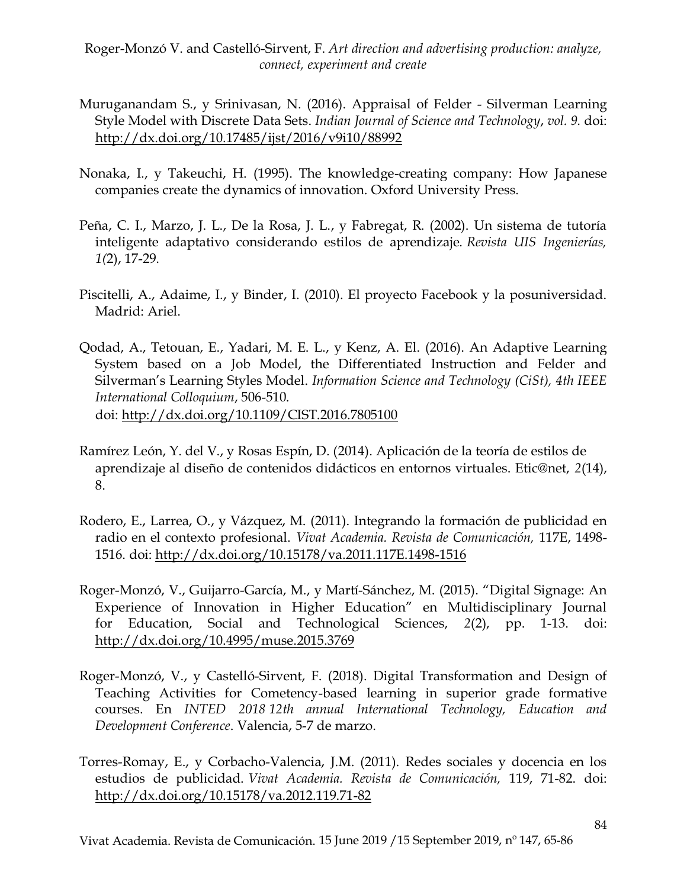- Muruganandam S., y Srinivasan, N. (2016). Appraisal of Felder Silverman Learning Style Model with Discrete Data Sets. *Indian Journal of Science and Technology*, *vol. 9.* doi: <http://dx.doi.org/10.17485/ijst/2016/v9i10/88992>
- Nonaka, I., y Takeuchi, H. (1995). The knowledge-creating company: How Japanese companies create the dynamics of innovation. Oxford University Press.
- Peña, C. I., Marzo, J. L., De la Rosa, J. L., y Fabregat, R. (2002). Un sistema de tutoría inteligente adaptativo considerando estilos de aprendizaje. *Revista UIS Ingenierías, 1(*2), 17-29.
- Piscitelli, A., Adaime, I., y Binder, I. (2010). El proyecto Facebook y la posuniversidad. Madrid: Ariel.
- Qodad, A., Tetouan, E., Yadari, M. E. L., y Kenz, A. El. (2016). An Adaptive Learning System based on a Job Model, the Differentiated Instruction and Felder and Silverman's Learning Styles Model. *Information Science and Technology (CiSt), 4th IEEE International Colloquium*, 506-510. doi:<http://dx.doi.org/10.1109/CIST.2016.7805100>
- Ramírez León, Y. del V., y Rosas Espín, D. (2014). Aplicación de la teoría de estilos de aprendizaje al diseño de contenidos didácticos en entornos virtuales. Etic@net, *2*(14), 8.
- Rodero, E., Larrea, O., y Vázquez, M. (2011). Integrando la formación de publicidad en radio en el contexto profesional. *Vivat Academia. Revista de Comunicación,* 117E, 1498- 1516. doi:<http://dx.doi.org/10.15178/va.2011.117E.1498-1516>
- Roger-Monzó, V., Guijarro-García, M., y Martí-Sánchez, M. (2015). "Digital Signage: An Experience of Innovation in Higher Education" en Multidisciplinary Journal for Education, Social and Technological Sciences, *2*(2), pp. 1-13. doi: <http://dx.doi.org/10.4995/muse.2015.3769>
- Roger-Monzó, V., y Castelló-Sirvent, F. (2018). Digital Transformation and Design of Teaching Activities for Cometency-based learning in superior grade formative courses. En *INTED 2018 12th annual International Technology, Education and Development Conference*. Valencia, 5-7 de marzo.
- Torres-Romay, E., y Corbacho-Valencia, J.M. (2011). Redes sociales y docencia en los estudios de publicidad. *Vivat Academia. Revista de Comunicación,* 119, 71-82. doi: <http://dx.doi.org/10.15178/va.2012.119.71-82>